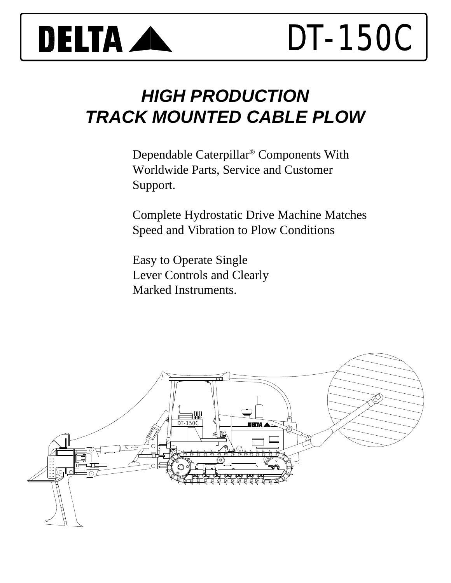

# *HIGH PRODUCTION TRACK MOUNTED CABLE PLOW*

Dependable Caterpillar® Components With Worldwide Parts, Service and Customer Support.

Complete Hydrostatic Drive Machine Matches Speed and Vibration to Plow Conditions

Easy to Operate Single Lever Controls and Clearly Marked Instruments.

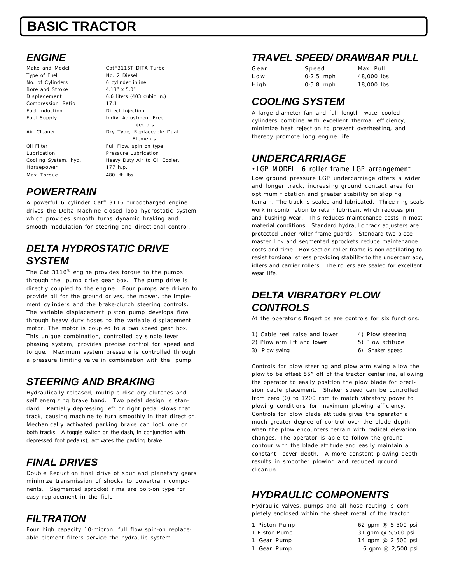# **BASIC TRACTOR**

### *ENGINE*

Make and Model Cat<sup>®</sup> 3116T DITA Turbo Type of Fuel No. 2 Diesel No. of Cylinders 6 cylinder inline Bore and Stroke 4.13" x 5.0" Compression Ratio 17:1 Fuel Induction **Direct Injection** 

Horsepower 177 h.p. Max Torque 480 ft. lbs

Displacement 6.6 liters (403 cubic in.) Fuel Supply **Indiv. Adjustment Free** injectors Air Cleaner **Dry Type, Replaceable Dual** Elements Oil Filter Full Flow, spin on type Lubrication Pressure Lubrication Cooling System, hyd. Heavy Duty Air to Oil Cooler.

#### *POWERTRAIN*

A powerful 6 cylinder Cat® 3116 turbocharged engine drives the Delta Machine closed loop hydrostatic system which provides smooth turns dynamic braking and smooth modulation for steering and directional control.

#### *DELTA HYDROSTATIC DRIVE SYSTEM*

The Cat 3116 $^\circledR$  engine provides torque to the pumps through the pump drive gear box. The pump drive is directly coupled to the engine. Four pumps are driven to provide oil for the ground drives, the mower, the implement cylinders and the brake-clutch steering controls. The variable displacement piston pump develops flow through heavy duty hoses to the variable displacement motor. The motor is coupled to a two speed gear box. This unique combination, controlled by single lever phasing system, provides precise control for speed and torque. Maximum system pressure is controlled through a pressure limiting valve in combination with the pump.

### *STEERING AND BRAKING*

Hydraulically released, multiple disc dry clutches and self energizing brake band. Two pedal design is standard. Partially depressing left or right pedal slows that track, causing machine to turn smoothly in that direction. Mechanically activated parking brake can lock one or both tracks. A toggle switch on the dash, in conjunction with depressed foot pedal(s), activates the parking brake.

### *FINAL DRIVES*

Double Reduction final drive of spur and planetary gears minimize transmission of shocks to powertrain components. Segmented sprocket rims are bolt-on type for easy replacement in the field.

### *FILTRATION*

Four high capacity 10-micron, full flow spin-on replaceable element filters service the hydraulic system.

#### *TRAVEL SPEED/ DRAWBAR PULL*

| Gear  | Speed       | Max. Pull   |
|-------|-------------|-------------|
| L o w | $0-2.5$ mph | 48,000 lbs. |
| High  | $0.5.8$ mph | 18,000 lbs. |

#### *COOLING SYSTEM*

A large diameter fan and full length, water-cooled cylinders combine with excellent thermal efficiency, minimize heat rejection to prevent overheating, and thereby promote long engine life.

#### *UNDERCARRIAGE* •LGP MODEL 6 roller frame LGP arrangement

Low ground pressure LGP undercarriage offers a wider and longer track, increasing ground contact area for optimum flotation and greater stability on sloping terrain. The track is sealed and lubricated. Three ring seals work in combination to retain lubricant which reduces pin and bushing wear. This reduces maintenance costs in most material conditions. Standard hydraulic track adjusters are protected under roller frame guards. Standard two piece master link and segmented sprockets reduce maintenance costs and time. Box section roller frame is non-oscillating to resist torsional stress providing stability to the undercarriage, idlers and carrier rollers. The rollers are sealed for excellent wear life.

### *DELTA VIBRATORY PLOW CONTROLS*

At the operator's fingertips are controls for six functions:

- 1) Cable reel raise and lower 4) Plow steering
	-
- 2) Plow arm lift and lower 5) Plow attitude
- 
- 3) Plow swing extending the control of the Shaker speed

Controls for plow steering and plow arm swing allow the plow to be offset 55" off of the tractor centerline, allowing the operator to easily position the plow blade for precision cable placement. Shaker speed can be controlled from zero (0) to 1200 rpm to match vibratory power to plowing conditions for maximum plowing efficiency. Controls for plow blade attitude gives the operator a much greater degree of control over the blade depth when the plow encounters terrain with radical elevation changes. The operator is able to follow the ground contour with the blade attitude and easily maintain a constant cover depth. A more constant plowing depth results in smoother plowing and reduced ground cleanup.

## *HYDRAULIC COMPONENTS*

Hydraulic valves, pumps and all hose routing is completely enclosed within the sheet metal of the tractor.

- 1 Piston Pump 62 gpm @ 5,500 psi
- 
- 
- 1 Piston Pump 31 gpm @ 5,500 psi 1 Gear Pump 14 gpm @ 2,500 psi 1 Gear Pump 6 gpm @ 2,500 psi